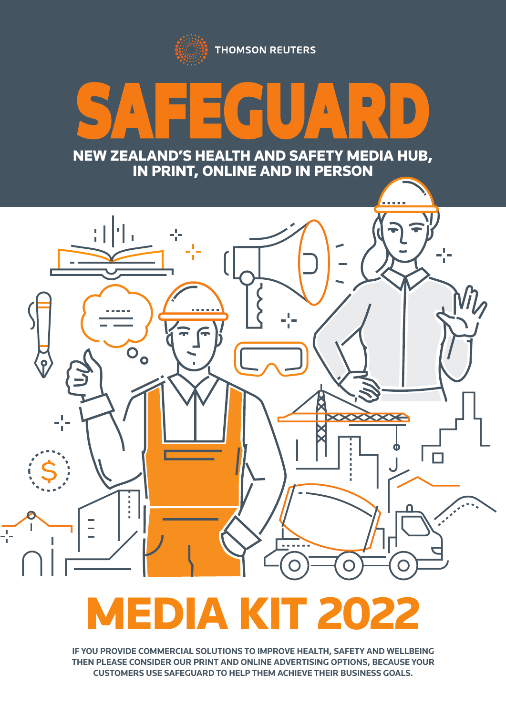**THOMSON REUTERS** 

# SAFEGUARD NEW ZEALAND'S HEALTH AND SAFETY MEDIA HUB,

IN PRINT, ONLINE AND IN PERSON



# EDIA KIT 202

**IF YOU PROVIDE COMMERCIAL SOLUTIONS TO IMPROVE HEALTH, SAFETY AND WELLBEING THEN PLEASE CONSIDER OUR PRINT AND ONLINE ADVERTISING OPTIONS, BECAUSE YOUR CUSTOMERS USE SAFEGUARD TO HELP THEM ACHIEVE THEIR BUSINESS GOALS.**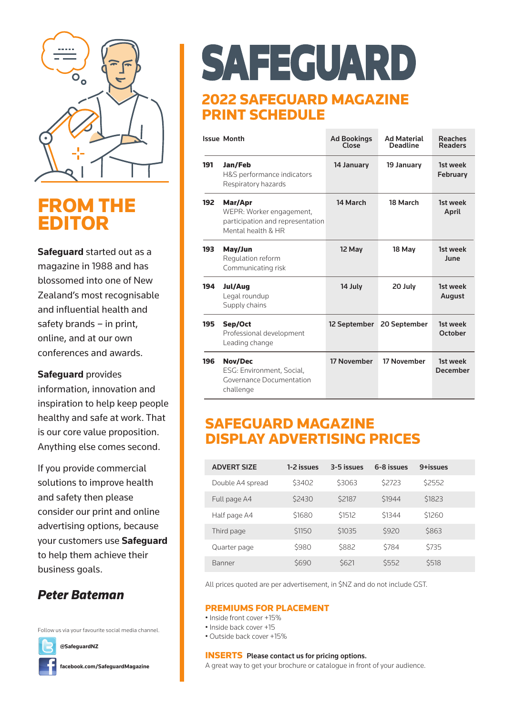

### FROM THE EDITOR

**Safeguard** started out as a magazine in 1988 and has blossomed into one of New Zealand's most recognisable and influential health and safety brands – in print, online, and at our own conferences and awards.

**Safeguard** provides

information, innovation and inspiration to help keep people healthy and safe at work. That is our core value proposition. Anything else comes second.

If you provide commercial solutions to improve health and safety then please consider our print and online advertising options, because your customers use **Safeguard** to help them achieve their business goals.

#### *Peter Bateman*

Follow us via your favourite social media channel.



SAFEGUARD

#### 2022 SAFEGUARD MAGAZINE PRINT SCHEDULE

|     | <b>Issue Month</b>                                                                            | <b>Ad Bookings</b><br>Close | <b>Ad Material</b><br><b>Deadline</b> | <b>Reaches</b><br><b>Readers</b> |
|-----|-----------------------------------------------------------------------------------------------|-----------------------------|---------------------------------------|----------------------------------|
| 191 | Jan/Feb<br>H&S performance indicators<br>Respiratory hazards                                  | 14 January                  | 19 January                            | 1st week<br><b>February</b>      |
| 192 | Mar/Apr<br>WEPR: Worker engagement,<br>participation and representation<br>Mental health & HR | 14 March                    | 18 March                              | 1st week<br>April                |
| 193 | May/Jun<br>Regulation reform<br>Communicating risk                                            | 12 May                      | 18 May                                | 1st week<br>June                 |
| 194 | Jul/Aug<br>Legal roundup<br>Supply chains                                                     | 14 July                     | 20 July                               | 1st week<br>August               |
| 195 | Sep/Oct<br>Professional development<br>Leading change                                         | 12 September                | 20 September                          | 1st week<br>October              |
| 196 | <b>Nov/Dec</b><br>ESG: Environment, Social,<br>Governance Documentation<br>challenge          | 17 November                 | 17 November                           | 1st week<br><b>December</b>      |

#### SAFEGUARD MAGAZINE DISPLAY ADVERTISING PRICES

| <b>ADVERT SIZE</b> | 1-2 issues | 3-5 issues   | 6-8 issues | 9+issues |
|--------------------|------------|--------------|------------|----------|
| Double A4 spread   | \$3402     | \$3063       | \$2723     | \$2552   |
| Full page A4       | \$2430     | \$2187       | \$1944     | \$1823   |
| Half page A4       | \$1680     | \$1512       | \$1344     | \$1260   |
| Third page         | \$1150     | \$1035       | \$920      | \$863    |
| Quarter page       | \$980      | \$882        | \$784      | \$735    |
| <b>Banner</b>      | \$690      | <b>\$621</b> | \$552      | \$518    |

All prices quoted are per advertisement, in \$NZ and do not include GST.

#### PREMIUMS FOR PLACEMENT

- Inside front cover +15%
- Inside back cover +15
- Outside back cover +15%

#### INSERTS Please contact us for pricing options.

A great way to get your brochure or catalogue in front of your audience.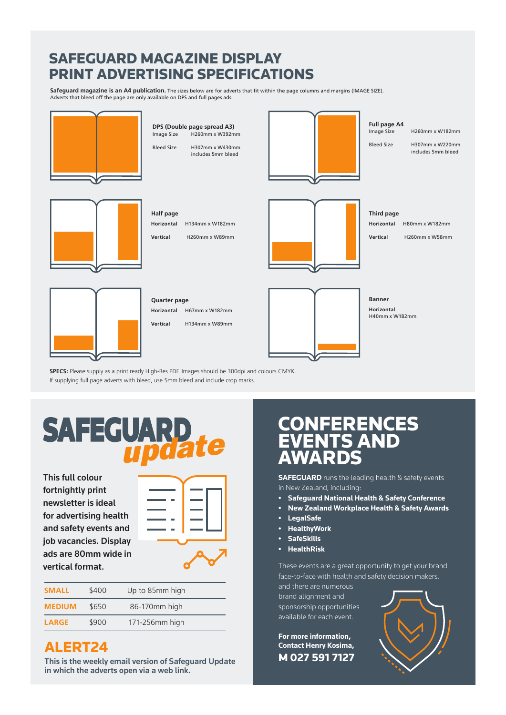#### SAFEGUARD MAGAZINE DISPLAY PRINT ADVERTISING SPECIFICATIONS

**Safeguard magazine is an A4 publication.** The sizes below are for adverts that fit within the page columns and margins (IMAGE SIZE). Adverts that bleed off the page are only available on DPS and full pages ads.



SPECS: Please supply as a print ready High-Res PDF. Images should be 300dpi and colours CMYK. If supplying full page adverts with bleed, use 5mm bleed and include crop marks.

# **SAFEGUARD**

This full colour fortnightly print newsletter is ideal for advertising health and safety events and job vacancies. Display ads are 80mm wide in vertical format.



| <b>SMALL</b>  | \$400 | Up to 85mm high |
|---------------|-------|-----------------|
| <b>MEDIUM</b> | \$650 | 86-170mm high   |
| <b>LARGE</b>  | \$900 | 171-256mm high  |

#### ALERT24

This is the weekly email version of Safeguard Update in which the adverts open via a web link.

### CONFERENCES EVENTS AND AWARDS

**SAFEGUARD** runs the leading health & safety events in New Zealand, including:

- **• Safeguard National Health & Safety Conference**
- **• New Zealand Workplace Health & Safety Awards**
- **• LegalSafe**
- **• HealthyWork**
- **• SafeSkills**
- **• HealthRisk**

These events are a great opportunity to get your brand face-to-face with health and safety decision makers,

and there are numerous brand alignment and sponsorship opportunities available for each event.

**For more information, Contact Henry Kosima,** M 027 591 7127